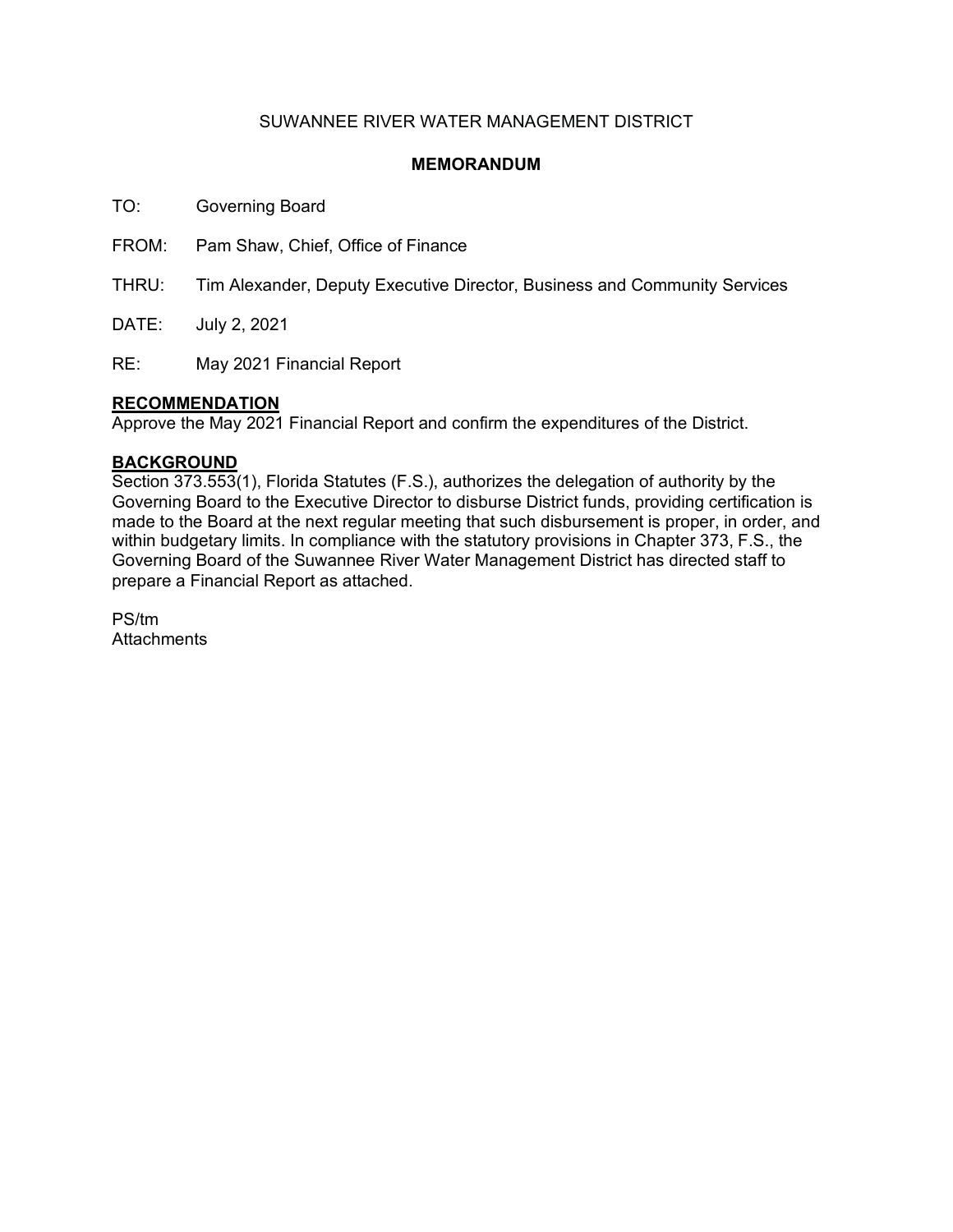# SUWANNEE RIVER WATER MANAGEMENT DISTRICT

## **MEMORANDUM**

TO: Governing Board

FROM: Pam Shaw, Chief, Office of Finance

THRU: Tim Alexander, Deputy Executive Director, Business and Community Services

DATE: July 2, 2021

RE: May 2021 Financial Report

### **RECOMMENDATION**

Approve the May 2021 Financial Report and confirm the expenditures of the District.

### **BACKGROUND**

Section 373.553(1), Florida Statutes (F.S.), authorizes the delegation of authority by the Governing Board to the Executive Director to disburse District funds, providing certification is made to the Board at the next regular meeting that such disbursement is proper, in order, and within budgetary limits. In compliance with the statutory provisions in Chapter 373, F.S., the Governing Board of the Suwannee River Water Management District has directed staff to prepare a Financial Report as attached.

PS/tm **Attachments**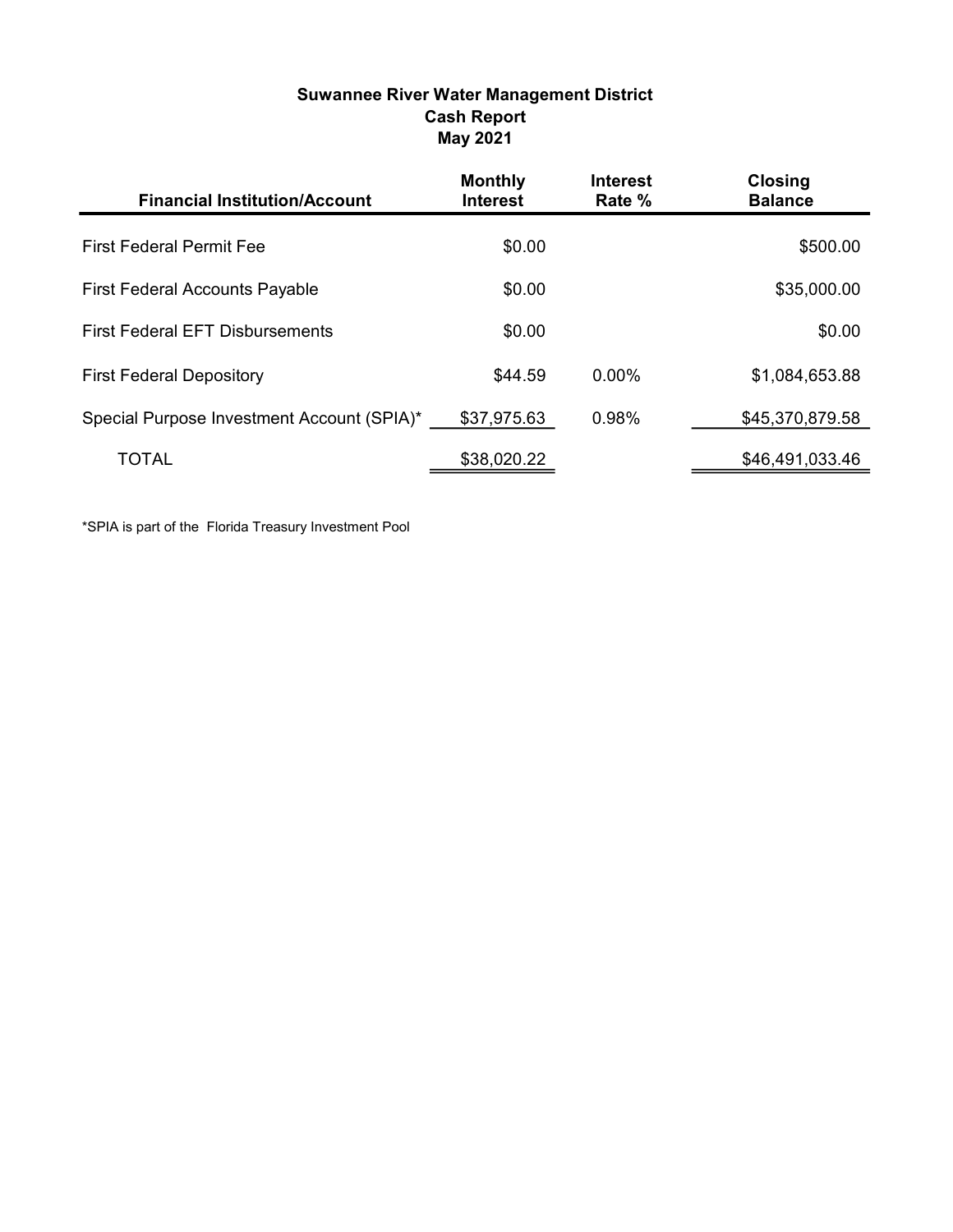# Suwannee River Water Management District Cash Report May 2021

| <b>Financial Institution/Account</b>       | <b>Monthly</b><br><b>Interest</b> | <b>Interest</b><br>Rate % | <b>Closing</b><br><b>Balance</b> |
|--------------------------------------------|-----------------------------------|---------------------------|----------------------------------|
| <b>First Federal Permit Fee</b>            | \$0.00                            |                           | \$500.00                         |
| <b>First Federal Accounts Payable</b>      | \$0.00                            |                           | \$35,000.00                      |
| <b>First Federal EFT Disbursements</b>     | \$0.00                            |                           | \$0.00                           |
| <b>First Federal Depository</b>            | \$44.59                           | $0.00\%$                  | \$1,084,653.88                   |
| Special Purpose Investment Account (SPIA)* | \$37,975.63                       | 0.98%                     | \$45,370,879.58                  |
| <b>TOTAL</b>                               | \$38,020.22                       |                           | \$46,491,033.46                  |

\*SPIA is part of the Florida Treasury Investment Pool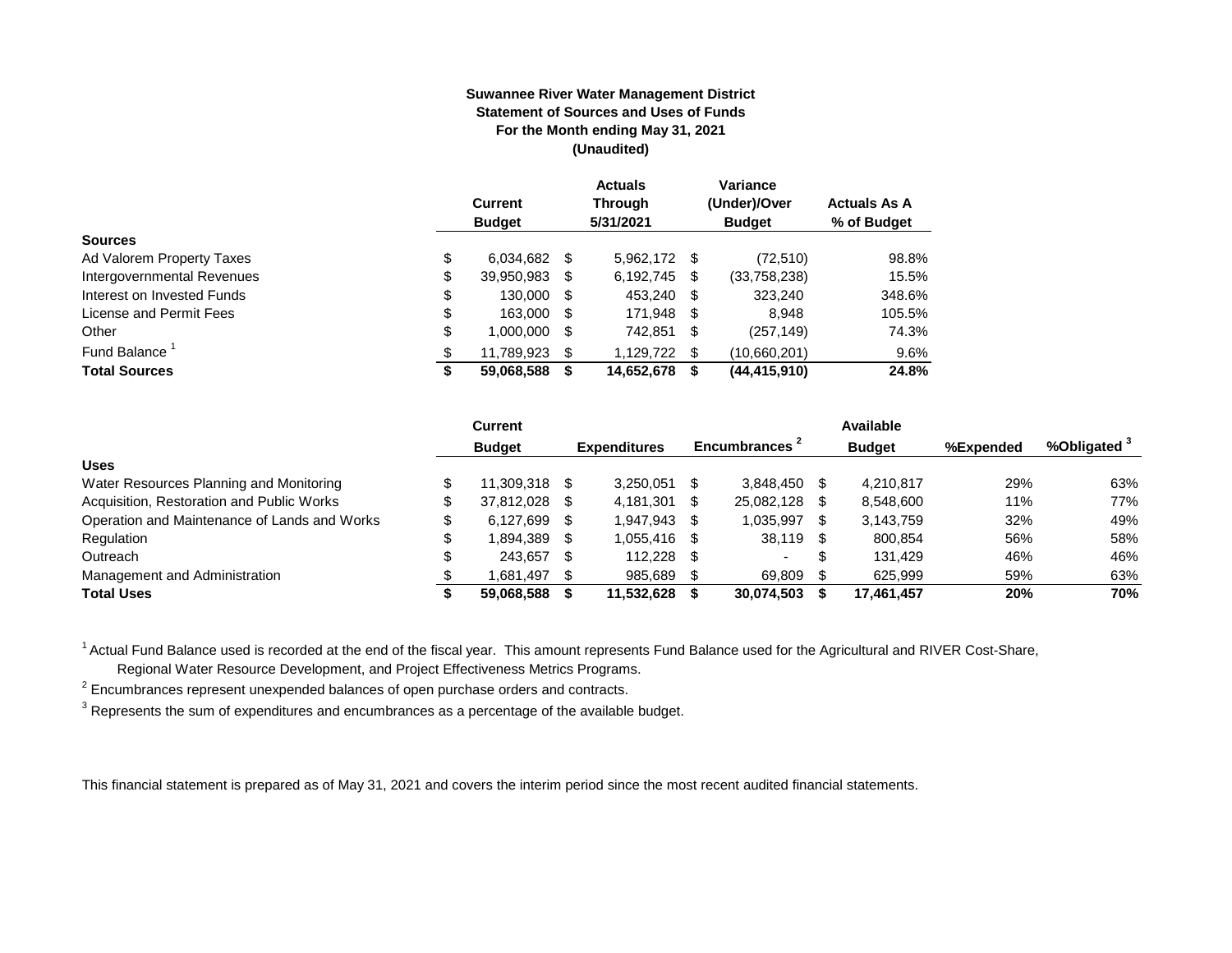#### **Suwannee River Water Management District Statement of Sources and Uses of Funds For the Month ending May 31, 2021 (Unaudited)**

|                                  | <b>Current</b><br><b>Budget</b> |      | <b>Actuals</b><br><b>Through</b><br>5/31/2021 |      | Variance<br>(Under)/Over<br><b>Budget</b> | <b>Actuals As A</b><br>% of Budget |
|----------------------------------|---------------------------------|------|-----------------------------------------------|------|-------------------------------------------|------------------------------------|
| <b>Sources</b>                   |                                 |      |                                               |      |                                           |                                    |
| \$<br>Ad Valorem Property Taxes  | 6,034,682                       | - \$ | 5,962,172 \$                                  |      | (72, 510)                                 | 98.8%                              |
| Intergovernmental Revenues<br>\$ | 39,950,983                      | S    | 6,192,745                                     | \$   | (33,758,238)                              | 15.5%                              |
| \$<br>Interest on Invested Funds | 130.000                         | - \$ | 453.240                                       | -\$  | 323.240                                   | 348.6%                             |
| \$<br>License and Permit Fees    | 163,000                         | - \$ | 171,948                                       | - \$ | 8.948                                     | 105.5%                             |
| \$<br>Other                      | 1,000,000                       | S    | 742,851                                       | \$   | (257, 149)                                | 74.3%                              |
| Fund Balance<br>\$               | 11.789.923                      | S    | 1.129.722                                     | S.   | (10,660,201)                              | 9.6%                               |
| <b>Total Sources</b><br>\$       | 59,068,588                      |      | 14,652,678                                    | S    | (44, 415, 910)                            | 24.8%                              |

|                                              | Current         |      |                     |    |                           |      | Available     |           |                         |
|----------------------------------------------|-----------------|------|---------------------|----|---------------------------|------|---------------|-----------|-------------------------|
|                                              | <b>Budget</b>   |      | <b>Expenditures</b> |    | Encumbrances <sup>2</sup> |      | <b>Budget</b> | %Expended | %Obligated <sup>3</sup> |
| <b>Uses</b>                                  |                 |      |                     |    |                           |      |               |           |                         |
| Water Resources Planning and Monitoring      | 11.309.318 \$   |      | 3.250.051           |    | 3.848.450                 |      | 4.210.817     | 29%       | 63%                     |
| Acquisition, Restoration and Public Works    | 37.812.028      | - \$ | 4.181.301           |    | 25,082,128                |      | 8,548,600     | 11%       | 77%                     |
| Operation and Maintenance of Lands and Works | \$<br>6,127,699 | - \$ | 1,947,943           |    | 1,035,997                 | \$.  | 3,143,759     | 32%       | 49%                     |
| Regulation                                   | 1,894,389       | - \$ | 1.055.416           |    | 38,119                    | - \$ | 800,854       | 56%       | 58%                     |
| Outreach                                     | 243.657         | - \$ | 112.228             | -S | $\sim$                    | \$   | 131.429       | 46%       | 46%                     |
| Management and Administration                | 1.681.497       | - \$ | 985.689             |    | 69.809                    |      | 625.999       | 59%       | 63%                     |
| <b>Total Uses</b>                            | 59.068.588      |      | 11,532,628          |    | 30,074,503                |      | 17,461,457    | 20%       | 70%                     |

<sup>1</sup> Actual Fund Balance used is recorded at the end of the fiscal year. This amount represents Fund Balance used for the Agricultural and RIVER Cost-Share,

Regional Water Resource Development, and Project Effectiveness Metrics Programs.

 $2$  Encumbrances represent unexpended balances of open purchase orders and contracts.

 $^3$  Represents the sum of expenditures and encumbrances as a percentage of the available budget.

This financial statement is prepared as of May 31, 2021 and covers the interim period since the most recent audited financial statements.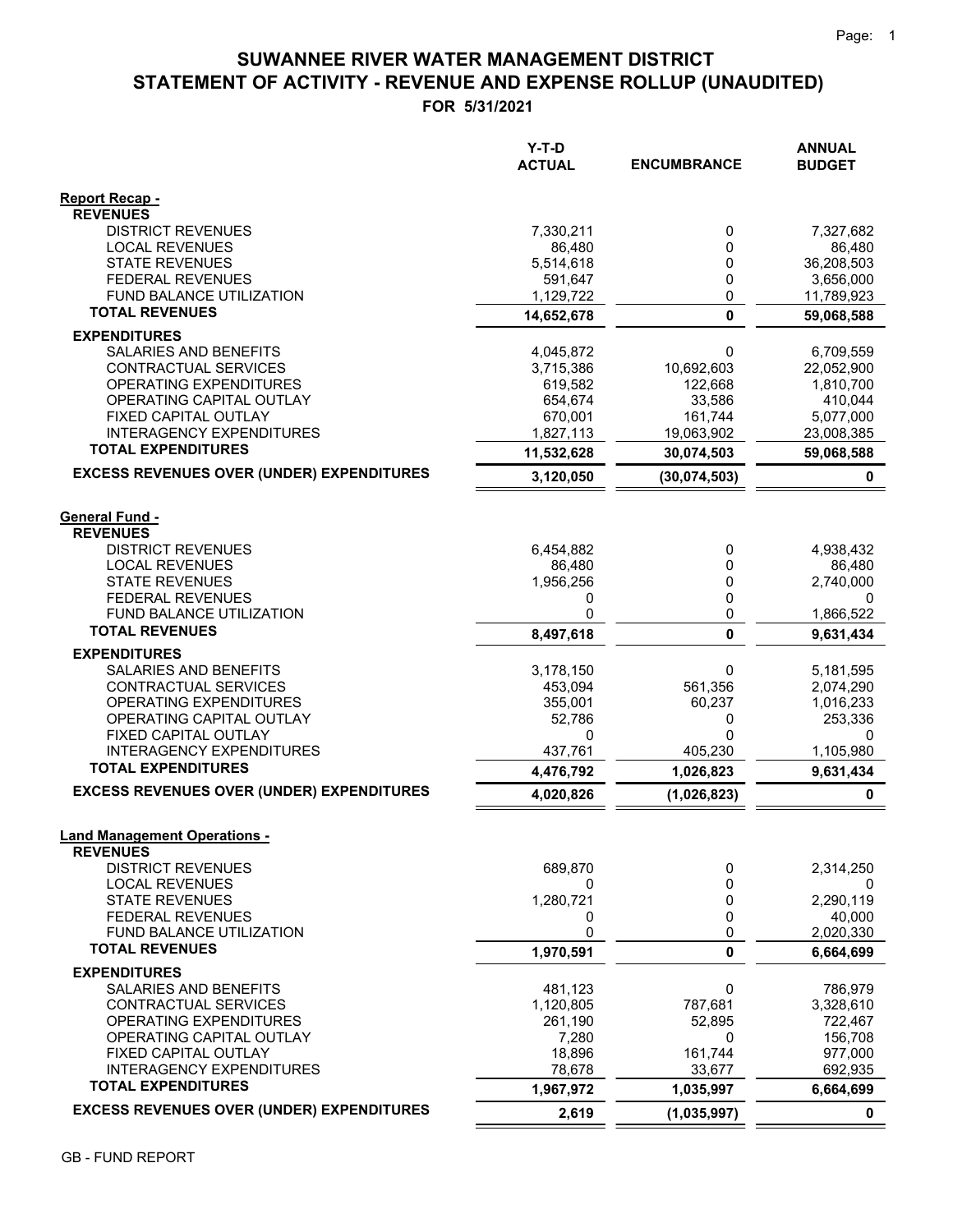# **STATEMENT OF ACTIVITY - REVENUE AND EXPENSE ROLLUP (UNAUDITED) SUWANNEE RIVER WATER MANAGEMENT DISTRICT**

**FOR 5/31/2021**

|                                                              | Y-T-D<br><b>ACTUAL</b> | <b>ENCUMBRANCE</b> | <b>ANNUAL</b><br><b>BUDGET</b> |
|--------------------------------------------------------------|------------------------|--------------------|--------------------------------|
| <b>Report Recap -</b>                                        |                        |                    |                                |
| <b>REVENUES</b><br><b>DISTRICT REVENUES</b>                  | 7,330,211              | 0                  | 7,327,682                      |
| <b>LOCAL REVENUES</b>                                        | 86,480                 | 0                  | 86,480                         |
| <b>STATE REVENUES</b>                                        | 5,514,618              | 0                  | 36,208,503                     |
| <b>FEDERAL REVENUES</b>                                      | 591,647                | 0                  | 3,656,000                      |
| FUND BALANCE UTILIZATION                                     | 1,129,722              | 0                  | 11,789,923                     |
| <b>TOTAL REVENUES</b>                                        | 14,652,678             | $\mathbf{0}$       | 59,068,588                     |
| <b>EXPENDITURES</b>                                          |                        |                    |                                |
| SALARIES AND BENEFITS                                        | 4,045,872              | 0                  | 6,709,559                      |
| CONTRACTUAL SERVICES                                         | 3,715,386              | 10,692,603         | 22,052,900                     |
| OPERATING EXPENDITURES<br>OPERATING CAPITAL OUTLAY           | 619,582                | 122,668<br>33,586  | 1,810,700<br>410,044           |
| FIXED CAPITAL OUTLAY                                         | 654,674<br>670,001     | 161,744            | 5,077,000                      |
| <b>INTERAGENCY EXPENDITURES</b>                              | 1,827,113              | 19,063,902         | 23,008,385                     |
| <b>TOTAL EXPENDITURES</b>                                    | 11,532,628             | 30,074,503         | 59,068,588                     |
| <b>EXCESS REVENUES OVER (UNDER) EXPENDITURES</b>             | 3,120,050              | (30,074,503)       | 0                              |
|                                                              |                        |                    |                                |
| <b>General Fund -</b>                                        |                        |                    |                                |
| <b>REVENUES</b>                                              |                        |                    |                                |
| <b>DISTRICT REVENUES</b>                                     | 6,454,882              | 0                  | 4,938,432                      |
| <b>LOCAL REVENUES</b>                                        | 86,480                 | 0                  | 86,480                         |
| <b>STATE REVENUES</b>                                        | 1,956,256              | 0                  | 2,740,000                      |
| <b>FEDERAL REVENUES</b><br><b>FUND BALANCE UTILIZATION</b>   | 0<br>0                 | 0                  | 0                              |
| <b>TOTAL REVENUES</b>                                        |                        | 0<br>$\mathbf{0}$  | 1,866,522                      |
|                                                              | 8,497,618              |                    | 9,631,434                      |
| <b>EXPENDITURES</b><br>SALARIES AND BENEFITS                 | 3,178,150              | 0                  | 5,181,595                      |
| CONTRACTUAL SERVICES                                         | 453,094                | 561,356            | 2,074,290                      |
| OPERATING EXPENDITURES                                       | 355,001                | 60,237             | 1,016,233                      |
| OPERATING CAPITAL OUTLAY                                     | 52,786                 | 0                  | 253,336                        |
| FIXED CAPITAL OUTLAY                                         | 0                      | 0                  | 0                              |
| <b>INTERAGENCY EXPENDITURES</b><br><b>TOTAL EXPENDITURES</b> | 437,761                | 405,230            | 1,105,980                      |
|                                                              | 4,476,792              | 1,026,823          | 9,631,434                      |
| <b>EXCESS REVENUES OVER (UNDER) EXPENDITURES</b>             | 4,020,826              | (1,026,823)        | 0                              |
|                                                              |                        |                    |                                |
| <b>Land Management Operations -</b><br><b>REVENUES</b>       |                        |                    |                                |
| <b>DISTRICT REVENUES</b>                                     | 689,870                | 0                  | 2,314,250                      |
| <b>LOCAL REVENUES</b>                                        | 0                      | 0                  | 0                              |
| <b>STATE REVENUES</b>                                        | 1,280,721              | 0                  | 2,290,119                      |
| <b>FEDERAL REVENUES</b>                                      | 0                      | 0                  | 40,000                         |
| FUND BALANCE UTILIZATION                                     | 0                      | 0                  | 2,020,330                      |
| <b>TOTAL REVENUES</b>                                        | 1,970,591              | 0                  | 6,664,699                      |
| <b>EXPENDITURES</b>                                          |                        |                    |                                |
| SALARIES AND BENEFITS<br>CONTRACTUAL SERVICES                | 481,123<br>1,120,805   | 0<br>787,681       | 786,979<br>3,328,610           |
| OPERATING EXPENDITURES                                       | 261,190                | 52,895             | 722,467                        |
| OPERATING CAPITAL OUTLAY                                     | 7,280                  | 0                  | 156,708                        |
| FIXED CAPITAL OUTLAY                                         | 18,896                 | 161,744            | 977,000                        |
| <b>INTERAGENCY EXPENDITURES</b>                              | 78,678                 | 33,677             | 692,935                        |
| <b>TOTAL EXPENDITURES</b>                                    | 1,967,972              | 1,035,997          | 6,664,699                      |
| <b>EXCESS REVENUES OVER (UNDER) EXPENDITURES</b>             | 2,619                  | (1,035,997)        | $\mathbf 0$                    |